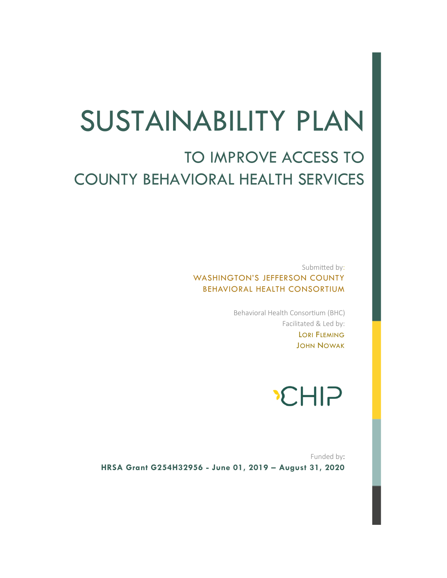# SUSTAINABILITY PLAN

# TO IMPROVE ACCESS TO COUNTY BEHAVIORAL HEALTH SERVICES

Submitted by: WASHINGTON'S JEFFERSON COUNTY BEHAVIORAL HEALTH CONSORTIUM

> Behavioral Health Consortium (BHC) Facilitated & Led by: LORI FLEMING JOHN NOWAK

# **CHIP**

Funded by: **HRSA Grant G254H32956 - June 01, 2019 – August 31, 2020**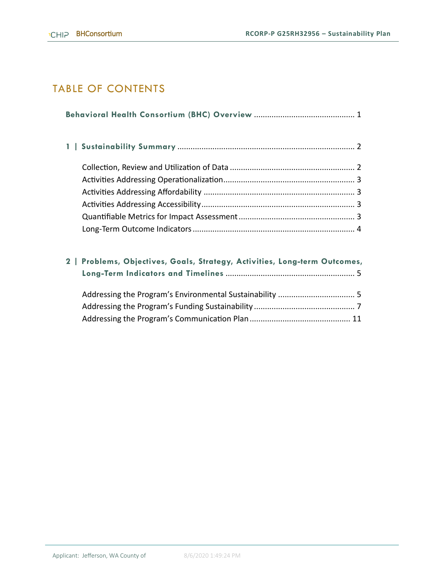# TABLE OF CONTENTS

| 2   Problems, Objectives, Goals, Strategy, Activities, Long-term Outcomes, |  |  |  |  |  |  |  |
|----------------------------------------------------------------------------|--|--|--|--|--|--|--|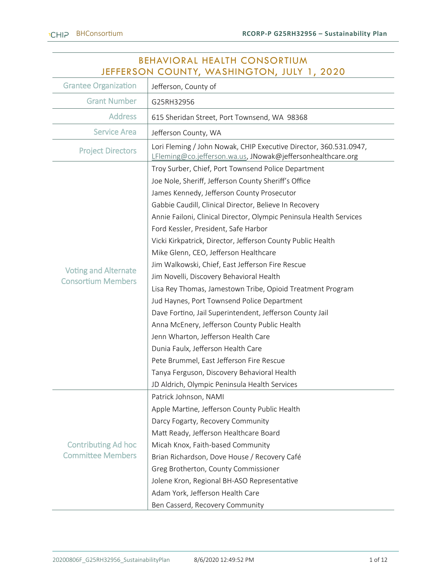| <b>BEHAVIORAL HEALTH CONSORTIUM</b><br>JEFFERSON COUNTY, WASHINGTON, JULY 1, 2020 |                                                                                                                                  |  |  |  |  |  |  |  |
|-----------------------------------------------------------------------------------|----------------------------------------------------------------------------------------------------------------------------------|--|--|--|--|--|--|--|
| <b>Grantee Organization</b>                                                       | Jefferson, County of                                                                                                             |  |  |  |  |  |  |  |
| <b>Grant Number</b>                                                               | G25RH32956                                                                                                                       |  |  |  |  |  |  |  |
| <b>Address</b>                                                                    | 615 Sheridan Street, Port Townsend, WA 98368                                                                                     |  |  |  |  |  |  |  |
| <b>Service Area</b>                                                               | Jefferson County, WA                                                                                                             |  |  |  |  |  |  |  |
| <b>Project Directors</b>                                                          | Lori Fleming / John Nowak, CHIP Executive Director, 360.531.0947,<br>LFleming@co.jefferson.wa.us, JNowak@jeffersonhealthcare.org |  |  |  |  |  |  |  |
|                                                                                   | Troy Surber, Chief, Port Townsend Police Department                                                                              |  |  |  |  |  |  |  |
|                                                                                   | Joe Nole, Sheriff, Jefferson County Sheriff's Office                                                                             |  |  |  |  |  |  |  |
|                                                                                   | James Kennedy, Jefferson County Prosecutor                                                                                       |  |  |  |  |  |  |  |
|                                                                                   | Gabbie Caudill, Clinical Director, Believe In Recovery                                                                           |  |  |  |  |  |  |  |
|                                                                                   | Annie Failoni, Clinical Director, Olympic Peninsula Health Services                                                              |  |  |  |  |  |  |  |
|                                                                                   | Ford Kessler, President, Safe Harbor                                                                                             |  |  |  |  |  |  |  |
|                                                                                   | Vicki Kirkpatrick, Director, Jefferson County Public Health                                                                      |  |  |  |  |  |  |  |
|                                                                                   | Mike Glenn, CEO, Jefferson Healthcare                                                                                            |  |  |  |  |  |  |  |
| <b>Voting and Alternate</b>                                                       | Jim Walkowski, Chief, East Jefferson Fire Rescue                                                                                 |  |  |  |  |  |  |  |
| <b>Consortium Members</b>                                                         | Jim Novelli, Discovery Behavioral Health                                                                                         |  |  |  |  |  |  |  |
|                                                                                   | Lisa Rey Thomas, Jamestown Tribe, Opioid Treatment Program                                                                       |  |  |  |  |  |  |  |
|                                                                                   | Jud Haynes, Port Townsend Police Department                                                                                      |  |  |  |  |  |  |  |
|                                                                                   | Dave Fortino, Jail Superintendent, Jefferson County Jail                                                                         |  |  |  |  |  |  |  |
|                                                                                   | Anna McEnery, Jefferson County Public Health                                                                                     |  |  |  |  |  |  |  |
|                                                                                   | Jenn Wharton, Jefferson Health Care                                                                                              |  |  |  |  |  |  |  |
|                                                                                   | Dunia Faulx, Jefferson Health Care                                                                                               |  |  |  |  |  |  |  |
|                                                                                   | Pete Brummel, East Jefferson Fire Rescue                                                                                         |  |  |  |  |  |  |  |
|                                                                                   | Tanya Ferguson, Discovery Behavioral Health                                                                                      |  |  |  |  |  |  |  |
|                                                                                   | JD Aldrich, Olympic Peninsula Health Services                                                                                    |  |  |  |  |  |  |  |
|                                                                                   | Patrick Johnson, NAMI                                                                                                            |  |  |  |  |  |  |  |
|                                                                                   | Apple Martine, Jefferson County Public Health                                                                                    |  |  |  |  |  |  |  |
|                                                                                   | Darcy Fogarty, Recovery Community                                                                                                |  |  |  |  |  |  |  |
|                                                                                   | Matt Ready, Jefferson Healthcare Board                                                                                           |  |  |  |  |  |  |  |
| <b>Contributing Ad hoc</b>                                                        | Micah Knox, Faith-based Community                                                                                                |  |  |  |  |  |  |  |
| <b>Committee Members</b>                                                          | Brian Richardson, Dove House / Recovery Café                                                                                     |  |  |  |  |  |  |  |
|                                                                                   | Greg Brotherton, County Commissioner                                                                                             |  |  |  |  |  |  |  |
|                                                                                   | Jolene Kron, Regional BH-ASO Representative                                                                                      |  |  |  |  |  |  |  |
|                                                                                   | Adam York, Jefferson Health Care                                                                                                 |  |  |  |  |  |  |  |
|                                                                                   | Ben Casserd, Recovery Community                                                                                                  |  |  |  |  |  |  |  |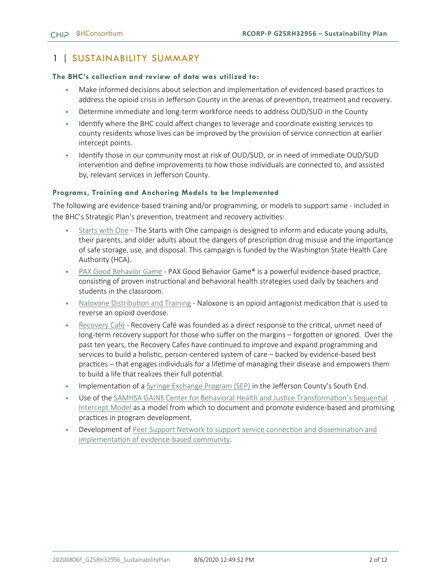## 1 | SUSTAINABILITY SUMMARY

#### **The BHC's collection and review of data was utilized to:**

- Make informed decisions about selection and implementation of evidenced-based practices to address the opioid crisis in Jefferson County in the arenas of prevention, treatment and recovery.
- **•** Determine immediate and long-term workforce needs to address OUD/SUD in the County
- Identify where the BHC could affect changes to leverage and coordinate existing services to county residents whose lives can be improved by the provision of service connection at earlier intercept points.
- Identify those in our community most at risk of OUD/SUD, or in need of immediate OUD/SUD intervention and define improvements to how those individuals are connected to, and assisted by, relevant services in Jefferson County.

#### **Programs, Training and Anchoring Models to be Implemented**

The following are evidence-based training and/or programming, or models to support same - included in the BHC's Strategic Plan's prevention, treatment and recovery activities:

- [Starts with One](https://getthefactsrx.com/) The Starts with One campaign is designed to inform and educate young adults, their parents, and older adults about the dangers of prescription drug misuse and the importance of safe storage, use, and disposal. This campaign is funded by the Washington State Health Care Authority (HCA).
- [PAX Good Behavior Game](https://www.paxis.org/good-behavior-game) PAX Good Behavior Game® is a powerful evidence-based practice, consisting of proven instructional and behavioral health strategies used daily by teachers and students in the classroom.
- [Naloxone Distribution and Training](https://www.samhsa.gov/medication-assisted-treatment/treatment/naloxone) Naloxone is an opioid antagonist medication that is used to reverse an opioid overdose.
- [Recovery Café](https://recoverycafe.org/get-recovery/) Recovery Café was founded as a direct response to the critical, unmet need of long-term recovery support for those who suffer on the margins – forgotten or ignored. Over the past ten years, the Recovery Cafes have continued to improve and expand programming and services to build a holistic, person-centered system of care – backed by evidence-based best practices – that engages individuals for a lifetime of managing their disease and empowers them to build a life that realizes their full potential.
- Implementation of [a Syringe Exchange Program \(SEP\)](https://www.cdc.gov/policy/hst/hi5/cleansyringes/index.html) in the Jefferson County's South End.
- Use of the SAMHSA GAINS Center for Behavioral Health and Justice Transformation's Sequential [Intercept Model](file:///C:/Users/lorif/Downloads/pep19-sim-brochure.pdf) as a model from which to document and promote evidence-based and promising practices in program development.
- Development of Peer Support Network to support service connection and dissemination and [implementation of evidence-based community.](https://www.samhsa.gov/brss-tacs/recovery-support-tools/peers)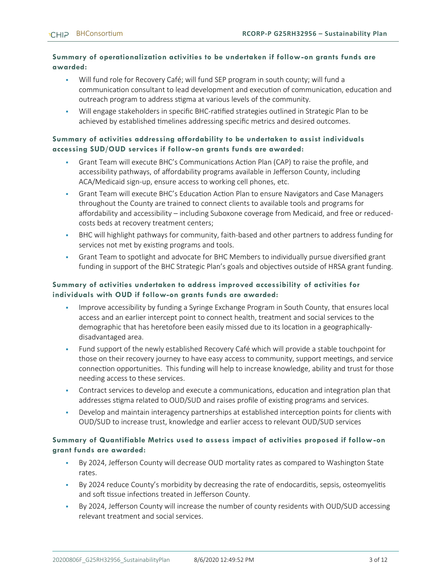#### **Summary of operationalization activities to be undertaken if follow-on grants funds are awarded:**

- Will fund role for Recovery Café; will fund SEP program in south county; will fund a communication consultant to lead development and execution of communication, education and outreach program to address stigma at various levels of the community.
- Will engage stakeholders in specific BHC-ratified strategies outlined in Strategic Plan to be achieved by established timelines addressing specific metrics and desired outcomes.

#### **Summary of activities addressing affordability to be undertaken to assist individuals accessing SUD/OUD services if follow-on grants funds are awarded:**

- Grant Team will execute BHC's Communications Action Plan (CAP) to raise the profile, and accessibility pathways, of affordability programs available in Jefferson County, including ACA/Medicaid sign-up, ensure access to working cell phones, etc.
- **Grant Team will execute BHC's Education Action Plan to ensure Navigators and Case Managers** throughout the County are trained to connect clients to available tools and programs for affordability and accessibility – including Suboxone coverage from Medicaid, and free or reducedcosts beds at recovery treatment centers;
- **•** BHC will highlight pathways for community, faith-based and other partners to address funding for services not met by existing programs and tools.
- **•** Grant Team to spotlight and advocate for BHC Members to individually pursue diversified grant funding in support of the BHC Strategic Plan's goals and objectives outside of HRSA grant funding.

#### **Summary of activities undertaken to address improved accessibility of activities for individuals with OUD if follow-on grants funds are awarded:**

- Improve accessibility by funding a Syringe Exchange Program in South County, that ensures local access and an earlier intercept point to connect health, treatment and social services to the demographic that has heretofore been easily missed due to its location in a geographicallydisadvantaged area.
- Fund support of the newly established Recovery Café which will provide a stable touchpoint for those on their recovery journey to have easy access to community, support meetings, and service connection opportunities. This funding will help to increase knowledge, ability and trust for those needing access to these services.
- **•** Contract services to develop and execute a communications, education and integration plan that addresses stigma related to OUD/SUD and raises profile of existing programs and services.
- Develop and maintain interagency partnerships at established interception points for clients with OUD/SUD to increase trust, knowledge and earlier access to relevant OUD/SUD services

#### **Summary of Quantifiable Metrics used to assess impact of activities proposed if follow-on grant funds are awarded:**

- By 2024, Jefferson County will decrease OUD mortality rates as compared to Washington State rates.
- By 2024 reduce County's morbidity by decreasing the rate of endocarditis, sepsis, osteomyelitis and soft tissue infections treated in Jefferson County.
- By 2024, Jefferson County will increase the number of county residents with OUD/SUD accessing relevant treatment and social services.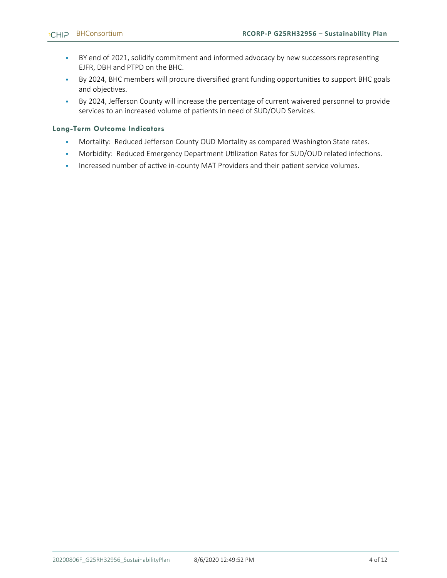- BY end of 2021, solidify commitment and informed advocacy by new successors representing EJFR, DBH and PTPD on the BHC.
- By 2024, BHC members will procure diversified grant funding opportunities to support BHC goals and objectives.
- By 2024, Jefferson County will increase the percentage of current waivered personnel to provide services to an increased volume of patients in need of SUD/OUD Services.

#### **Long-Term Outcome Indicators**

- Mortality: Reduced Jefferson County OUD Mortality as compared Washington State rates.
- **Morbidity: Reduced Emergency Department Utilization Rates for SUD/OUD related infections.**
- **Increased number of active in-county MAT Providers and their patient service volumes.**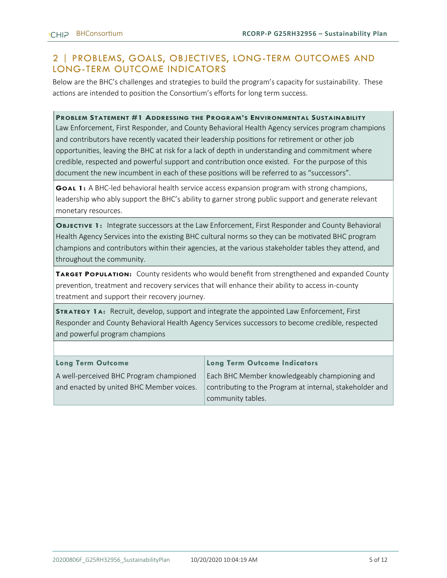### 2 | PROBLEMS, GOALS, OBJECTIVES, LONG-TERM OUTCOMES AND LONG-TERM OUTCOME INDICATORS

Below are the BHC's challenges and strategies to build the program's capacity for sustainability. These actions are intended to position the Consortium's efforts for long term success.

**PROBLEM STATEMENT #1 ADDRESSING THE PROGRAM'S ENVIRONMENTAL SUSTAINABILITY**

Law Enforcement, First Responder, and County Behavioral Health Agency services program champions and contributors have recently vacated their leadership positions for retirement or other job opportunities, leaving the BHC at risk for a lack of depth in understanding and commitment where credible, respected and powerful support and contribution once existed. For the purpose of this document the new incumbent in each of these positions will be referred to as "successors".

**GOAL 1:** A BHC-led behavioral health service access expansion program with strong champions, leadership who ably support the BHC's ability to garner strong public support and generate relevant monetary resources.

**OBJECTIVE 1:** Integrate successors at the Law Enforcement, First Responder and County Behavioral Health Agency Services into the existing BHC cultural norms so they can be motivated BHC program champions and contributors within their agencies, at the various stakeholder tables they attend, and throughout the community.

**TARGET POPULATION:** County residents who would benefit from strengthened and expanded County prevention, treatment and recovery services that will enhance their ability to access in-county treatment and support their recovery journey.

**STRATEGY 1A:** Recruit, develop, support and integrate the appointed Law Enforcement, First Responder and County Behavioral Health Agency Services successors to become credible, respected and powerful program champions

| <b>Long Term Outcome</b>                 | Long Term Outcome Indicators                             |
|------------------------------------------|----------------------------------------------------------|
| A well-perceived BHC Program championed  | Each BHC Member knowledgeably championing and            |
| and enacted by united BHC Member voices. | contributing to the Program at internal, stakeholder and |
|                                          | community tables.                                        |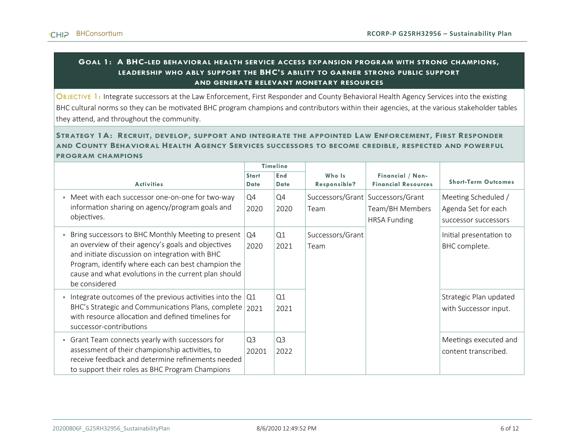#### **GOAL 1: A BHC-LED BEHAVIORAL HEALTH SERVICE ACCESS EXPANSION PROGRAM WITH STRONG CHAMPIONS, LEADERSHIP WHO ABLY SUPPORT THE BHC'S ABILITY TO GARNER STRONG PUBLIC SUPPORT AND GENERATE RELEVANT MONETARY RESOURCES**

OBJECTIVE 1: Integrate successors at the Law Enforcement, First Responder and County Behavioral Health Agency Services into the existing BHC cultural norms so they can be motivated BHC program champions and contributors within their agencies, at the various stakeholder tables they attend, and throughout the community.

#### STRATEGY 1A: RECRUIT, DEVELOP, SUPPORT AND INTEGRATE THE APPOINTED LAW ENFORCEMENT, FIRST RESPONDER **AND COUNTY BEHAVIORAL HEALTH AGENCY SERVICES SUCCESSORS TO BECOME CREDIBLE, RESPECTED AND POWERFUL PROGRAM CHAMPIONS**

|                                                                                                                                                                                                                                                                                            | <b>Timeline</b>             |                        |                          |                                                                               |                                                                    |  |  |  |  |
|--------------------------------------------------------------------------------------------------------------------------------------------------------------------------------------------------------------------------------------------------------------------------------------------|-----------------------------|------------------------|--------------------------|-------------------------------------------------------------------------------|--------------------------------------------------------------------|--|--|--|--|
| <b>Activities</b>                                                                                                                                                                                                                                                                          | <b>Start</b><br><b>Date</b> | End<br><b>Date</b>     | Who Is<br>Responsible?   | Financial / Non-<br><b>Financial Resources</b>                                | <b>Short-Term Outcomes</b>                                         |  |  |  |  |
| Meet with each successor one-on-one for two-way<br>information sharing on agency/program goals and<br>objectives.                                                                                                                                                                          | Q4<br>2020                  | Q4<br>2020             | Team                     | Successors/Grant   Successors/Grant<br>Team/BH Members<br><b>HRSA Funding</b> | Meeting Scheduled /<br>Agenda Set for each<br>successor successors |  |  |  |  |
| Bring successors to BHC Monthly Meeting to present<br>an overview of their agency's goals and objectives<br>and initiate discussion on integration with BHC<br>Program, identify where each can best champion the<br>cause and what evolutions in the current plan should<br>be considered | Q4<br>2020                  | Q1<br>2021             | Successors/Grant<br>Team |                                                                               | Initial presentation to<br>BHC complete.                           |  |  |  |  |
| Integrate outcomes of the previous activities into the<br>BHC's Strategic and Communications Plans, complete<br>with resource allocation and defined timelines for<br>successor-contributions                                                                                              | Q1<br>2021                  | Q1<br>2021             |                          |                                                                               | Strategic Plan updated<br>with Successor input.                    |  |  |  |  |
| Grant Team connects yearly with successors for<br>assessment of their championship activities, to<br>receive feedback and determine refinements needed<br>to support their roles as BHC Program Champions                                                                                  | Q <sub>3</sub><br>20201     | Q <sub>3</sub><br>2022 |                          |                                                                               | Meetings executed and<br>content transcribed.                      |  |  |  |  |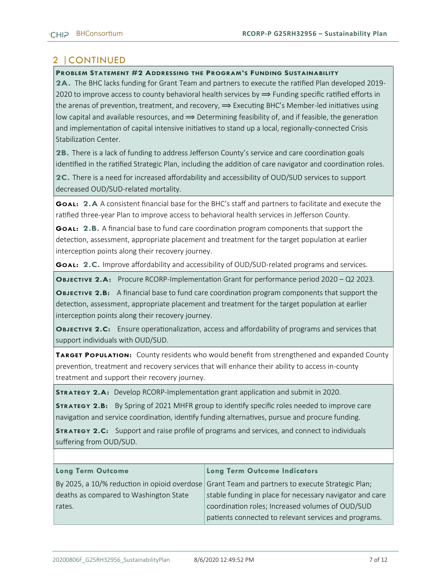# 2 |CONTINUED

#### **PROBLEM STATEMENT #2 ADDRESSING THE PROGRAM'S FUNDING SUSTAINABILITY**

**2A.** The BHC lacks funding for Grant Team and partners to execute the ratified Plan developed 2019- 2020 to improve access to county behavioral health services by  $\Rightarrow$  Funding specific ratified efforts in the arenas of prevention, treatment, and recovery,  $\Rightarrow$  Executing BHC's Member-led initiatives using low capital and available resources, and  $\implies$  Determining feasibility of, and if feasible, the generation and implementation of capital intensive initiatives to stand up a local, regionally-connected Crisis Stabilization Center.

**2B.** There is a lack of funding to address Jefferson County's service and care coordination goals identified in the ratified Strategic Plan, including the addition of care navigator and coordination roles.

**2C.** There is a need for increased affordability and accessibility of OUD/SUD services to support decreased OUD/SUD-related mortality.

**GOAL: 2.A** A consistent financial base for the BHC's staff and partners to facilitate and execute the ratified three-year Plan to improve access to behavioral health services in Jefferson County.

**GOAL: 2.B.** A financial base to fund care coordination program components that support the detection, assessment, appropriate placement and treatment for the target population at earlier interception points along their recovery journey.

**GOAL: 2.C.** Improve affordability and accessibility of OUD/SUD-related programs and services.

**OBJECTIVE 2.A:** Procure RCORP-Implementation Grant for performance period 2020 – Q2 2023.

**OBJECTIVE 2.B:** A financial base to fund care coordination program components that support the detection, assessment, appropriate placement and treatment for the target population at earlier interception points along their recovery journey.

**OBJECTIVE 2.C:** Ensure operationalization, access and affordability of programs and services that support individuals with OUD/SUD.

**TARGET POPULATION:** County residents who would benefit from strengthened and expanded County prevention, treatment and recovery services that will enhance their ability to access in-county treatment and support their recovery journey.

**STRATEGY 2.A:** Develop RCORP-Implementation grant application and submit in 2020.

**STRATEGY 2.B:** By Spring of 2021 MHFR group to identify specific roles needed to improve care navigation and service coordination, identify funding alternatives, pursue and procure funding.

**STRATEGY 2.C:** Support and raise profile of programs and services, and connect to individuals suffering from OUD/SUD.

#### **Long Term Outcome**

### By 2025, a 10/% reduction in opioid overdose deaths as compared to Washington State rates.

#### **Long Term Outcome Indicators**

Grant Team and partners to execute Strategic Plan; stable funding in place for necessary navigator and care coordination roles; Increased volumes of OUD/SUD patients connected to relevant services and programs.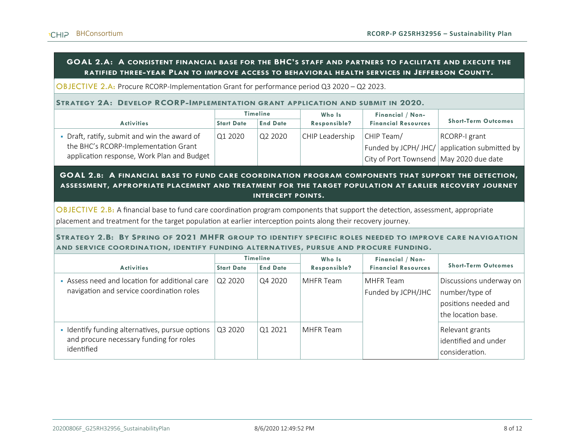#### **GOAL 2.A: A CONSISTENT FINANCIAL BASE FOR THE BHC'S STAFF AND PARTNERS TO FACILITATE AND EXECUTE THE RATIFIED THREE-YEAR PLAN TO IMPROVE ACCESS TO BEHAVIORAL HEALTH SERVICES IN JEFFERSON COUNTY.**

OBJECTIVE 2.A: Procure RCORP-Implementation Grant for performance period Q3 2020 – Q2 2023.

#### **STRATEGY 2A: DEVELOP RCORP-IMPLEMENTATION GRANT APPLICATION AND SUBMIT IN 2020.**

|                                                                                                                                    | <b>Timeline</b>   |                 | Who Is          |                                                         |                                                                    |
|------------------------------------------------------------------------------------------------------------------------------------|-------------------|-----------------|-----------------|---------------------------------------------------------|--------------------------------------------------------------------|
| <b>Activities</b>                                                                                                                  | <b>Start Date</b> | <b>End Date</b> | Responsible?    | <b>Financial Resources</b>                              | <b>Short-Term Outcomes</b>                                         |
| • Draft, ratify, submit and win the award of<br>the BHC's RCORP-Implementation Grant<br>application response, Work Plan and Budget | Q1 2020           | Q2 2020         | CHIP Leadership | CHIP Team/<br>City of Port Townsend   May 2020 due date | RCORP-I grant<br>  Funded by JCPH/ JHC/   application submitted by |

#### **GOAL 2.B: A FINANCIAL BASE TO FUND CARE COORDINATION PROGRAM COMPONENTS THAT SUPPORT THE DETECTION, ASSESSMENT, APPROPRIATE PLACEMENT AND TREATMENT FOR THE TARGET POPULATION AT EARLIER RECOVERY JOURNEY INTERCEPT POINTS.**

OBJECTIVE 2.B: A financial base to fund care coordination program components that support the detection, assessment, appropriate placement and treatment for the target population at earlier interception points along their recovery journey.

#### **STRATEGY 2.B: BY SPRING OF 2021 MHFR GROUP TO IDENTIFY SPECIFIC ROLES NEEDED TO IMPROVE CARE NAVIGATION AND SERVICE COORDINATION, IDENTIFY FUNDING ALTERNATIVES, PURSUE AND PROCURE FUNDING.**

|                                                                                                        | <b>Timeline</b>   |                 |              |                                 | Who Is                                                                                  | Financial / Non- |  |
|--------------------------------------------------------------------------------------------------------|-------------------|-----------------|--------------|---------------------------------|-----------------------------------------------------------------------------------------|------------------|--|
| <b>Activities</b>                                                                                      | <b>Start Date</b> | <b>End Date</b> | Responsible? | <b>Financial Resources</b>      | <b>Short-Term Outcomes</b>                                                              |                  |  |
| Assess need and location for additional care<br>navigation and service coordination roles              | Q2 2020           | Q4 2020         | MHFR Team    | MHFR Team<br>Funded by JCPH/JHC | Discussions underway on<br>number/type of<br>positions needed and<br>the location base. |                  |  |
| Identify funding alternatives, pursue options<br>and procure necessary funding for roles<br>identified | Q3 2020           | Q1 2021         | MHFR Team    |                                 | Relevant grants<br>identified and under<br>consideration.                               |                  |  |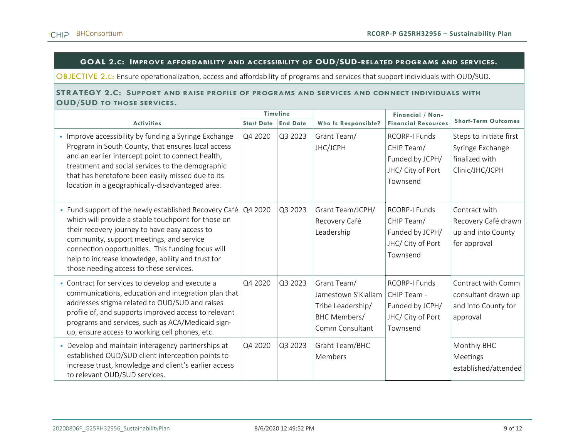#### **GOAL 2.C: IMPROVE AFFORDABILITY AND ACCESSIBILITY OF OUD/SUD-RELATED PROGRAMS AND SERVICES.**

OBJECTIVE 2.C: Ensure operationalization, access and affordability of programs and services that support individuals with OUD/SUD.

#### **STRATEGY 2.C: SUPPORT AND RAISE PROFILE OF PROGRAMS AND SERVICES AND CONNECT INDIVIDUALS WITH OUD/SUD TO THOSE SERVICES.**

|                                                                                                                                                                                                                                                                                                                                                                                     | <b>Timeline</b>   |                 |                                                                                            |                                                                                         |                                                                                  | Financial / Non- |  |
|-------------------------------------------------------------------------------------------------------------------------------------------------------------------------------------------------------------------------------------------------------------------------------------------------------------------------------------------------------------------------------------|-------------------|-----------------|--------------------------------------------------------------------------------------------|-----------------------------------------------------------------------------------------|----------------------------------------------------------------------------------|------------------|--|
| <b>Activities</b>                                                                                                                                                                                                                                                                                                                                                                   | <b>Start Date</b> | <b>End Date</b> | Who Is Responsible?                                                                        | <b>Financial Resources</b>                                                              | <b>Short-Term Outcomes</b>                                                       |                  |  |
| • Improve accessibility by funding a Syringe Exchange<br>Program in South County, that ensures local access<br>and an earlier intercept point to connect health,<br>treatment and social services to the demographic<br>that has heretofore been easily missed due to its<br>location in a geographically-disadvantaged area.                                                       | Q4 2020           | Q3 2023         | Grant Team/<br>JHC/JCPH                                                                    | <b>RCORP-I Funds</b><br>CHIP Team/<br>Funded by JCPH/<br>JHC/ City of Port<br>Townsend  | Steps to initiate first<br>Syringe Exchange<br>finalized with<br>Clinic/JHC/JCPH |                  |  |
| • Fund support of the newly established Recovery Café $\overline{Q4}$ 2020<br>which will provide a stable touchpoint for those on<br>their recovery journey to have easy access to<br>community, support meetings, and service<br>connection opportunities. This funding focus will<br>help to increase knowledge, ability and trust for<br>those needing access to these services. |                   | Q3 2023         | Grant Team/JCPH/<br>Recovery Café<br>Leadership                                            | <b>RCORP-I Funds</b><br>CHIP Team/<br>Funded by JCPH/<br>JHC/ City of Port<br>Townsend  | Contract with<br>Recovery Café drawn<br>up and into County<br>for approval       |                  |  |
| • Contract for services to develop and execute a<br>communications, education and integration plan that<br>addresses stigma related to OUD/SUD and raises<br>profile of, and supports improved access to relevant<br>programs and services, such as ACA/Medicaid sign-<br>up, ensure access to working cell phones, etc.                                                            | Q4 2020           | Q3 2023         | Grant Team/<br>Jamestown S'Klallam<br>Tribe Leadership/<br>BHC Members/<br>Comm Consultant | <b>RCORP-I Funds</b><br>CHIP Team -<br>Funded by JCPH/<br>JHC/ City of Port<br>Townsend | Contract with Comm<br>consultant drawn up<br>and into County for<br>approval     |                  |  |
| • Develop and maintain interagency partnerships at<br>established OUD/SUD client interception points to<br>increase trust, knowledge and client's earlier access<br>to relevant OUD/SUD services.                                                                                                                                                                                   | Q4 2020           | Q3 2023         | Grant Team/BHC<br>Members                                                                  |                                                                                         | Monthly BHC<br>Meetings<br>established/attended                                  |                  |  |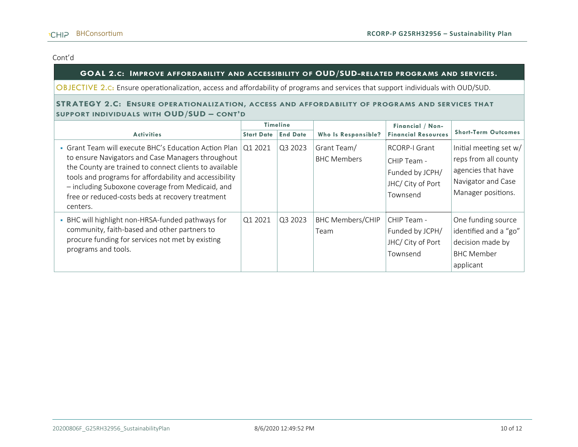#### Cont'd

#### **GOAL 2.C: IMPROVE AFFORDABILITY AND ACCESSIBILITY OF OUD/SUD-RELATED PROGRAMS AND SERVICES.**

OBJECTIVE 2.C: Ensure operationalization, access and affordability of programs and services that support individuals with OUD/SUD.

#### **STRATEGY 2.C:** ENSURE OPERATIONALIZATION, ACCESS AND AFFORDABILITY OF PROGRAMS AND SERVICES THAT **SUPPORT INDIVIDUALS WITH OUD/SUD – CONT'D**

|                                                                                                                                                                                                                                                                                                                                                              | <b>Timeline</b>   |                 |                                   |                                                                                  |                                                                                                                  |  |  | Financial / Non- |  |
|--------------------------------------------------------------------------------------------------------------------------------------------------------------------------------------------------------------------------------------------------------------------------------------------------------------------------------------------------------------|-------------------|-----------------|-----------------------------------|----------------------------------------------------------------------------------|------------------------------------------------------------------------------------------------------------------|--|--|------------------|--|
| <b>Activities</b>                                                                                                                                                                                                                                                                                                                                            | <b>Start Date</b> | <b>End Date</b> | Who Is Responsible?               | <b>Financial Resources</b>                                                       | <b>Short-Term Outcomes</b>                                                                                       |  |  |                  |  |
| • Grant Team will execute BHC's Education Action Plan   Q1 2021<br>to ensure Navigators and Case Managers throughout<br>the County are trained to connect clients to available<br>tools and programs for affordability and accessibility<br>- including Suboxone coverage from Medicaid, and<br>free or reduced-costs beds at recovery treatment<br>centers. |                   | Q3 2023         | Grant Team/<br><b>BHC Members</b> | RCORP-I Grant<br>CHIP Team -<br>Funded by JCPH/<br>JHC/ City of Port<br>Townsend | Initial meeting set w/<br>reps from all county<br>agencies that have<br>Navigator and Case<br>Manager positions. |  |  |                  |  |
| • BHC will highlight non-HRSA-funded pathways for<br>community, faith-based and other partners to<br>procure funding for services not met by existing<br>programs and tools.                                                                                                                                                                                 | Q12021            | Q3 2023         | <b>BHC Members/CHIP</b><br>Team   | CHIP Team -<br>Funded by JCPH/<br>JHC/ City of Port<br>Townsend                  | One funding source<br>identified and a "go"<br>decision made by<br><b>BHC Member</b><br>applicant                |  |  |                  |  |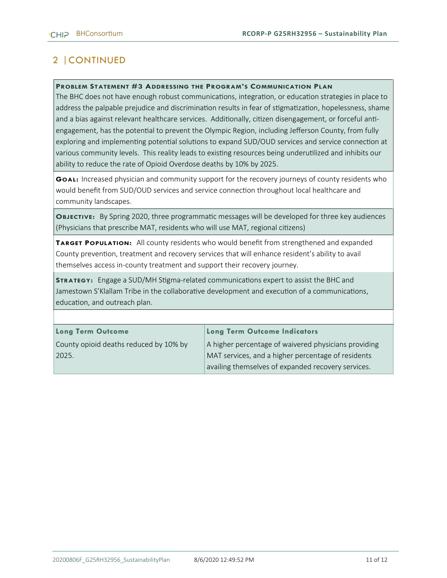# 2 |CONTINUED

#### **PROBLEM STATEMENT #3 ADDRESSING THE PROGRAM'S COMMUNICATION PLAN**

The BHC does not have enough robust communications, integration, or education strategies in place to address the palpable prejudice and discrimination results in fear of stigmatization, hopelessness, shame and a bias against relevant healthcare services. Additionally, citizen disengagement, or forceful antiengagement, has the potential to prevent the Olympic Region, including Jefferson County, from fully exploring and implementing potential solutions to expand SUD/OUD services and service connection at various community levels. This reality leads to existing resources being underutilized and inhibits our ability to reduce the rate of Opioid Overdose deaths by 10% by 2025.

**GOAL:** Increased physician and community support for the recovery journeys of county residents who would benefit from SUD/OUD services and service connection throughout local healthcare and community landscapes.

**OBJECTIVE:** By Spring 2020, three programmatic messages will be developed for three key audiences (Physicians that prescribe MAT, residents who will use MAT, regional citizens)

**TARGET POPULATION:** All county residents who would benefit from strengthened and expanded County prevention, treatment and recovery services that will enhance resident's ability to avail themselves access in-county treatment and support their recovery journey.

**STRATEGY:** Engage a SUD/MH Stigma-related communications expert to assist the BHC and Jamestown S'Klallam Tribe in the collaborative development and execution of a communications, education, and outreach plan.

#### **Long Term Outcome**

County opioid deaths reduced by 10% by 2025.

#### **Long Term Outcome Indicators**

A higher percentage of waivered physicians providing MAT services, and a higher percentage of residents availing themselves of expanded recovery services.